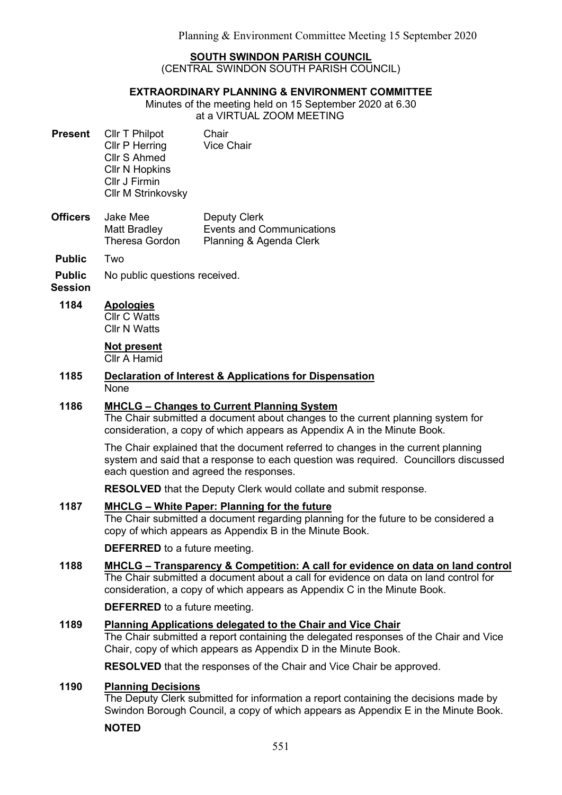### SOUTH SWINDON PARISH COUNCIL

(CENTRAL SWINDON SOUTH PARISH COUNCIL)

#### EXTRAORDINARY PLANNING & ENVIRONMENT COMMITTEE

Minutes of the meeting held on 15 September 2020 at 6.30 at a VIRTUAL ZOOM MEETING

- Present Cllr T Philpot Chair Cllr P Herring Vice Chair Cllr S Ahmed Cllr N Hopkins Cllr J Firmin Cllr M Strinkovsky
- Officers Jake Mee Matt Bradley Theresa Gordon Deputy Clerk Events and Communications Planning & Agenda Clerk

Public Two

Public No public questions received.

**Session** 

#### 1184 Apologies

Cllr C Watts Cllr N Watts

 Not present Cllr A Hamid

1185 Declaration of Interest & Applications for Dispensation None

# 1186 MHCLG – Changes to Current Planning System

The Chair submitted a document about changes to the current planning system for consideration, a copy of which appears as Appendix A in the Minute Book.

The Chair explained that the document referred to changes in the current planning system and said that a response to each question was required. Councillors discussed each question and agreed the responses.

RESOLVED that the Deputy Clerk would collate and submit response.

#### 1187 MHCLG – White Paper: Planning for the future

The Chair submitted a document regarding planning for the future to be considered a copy of which appears as Appendix B in the Minute Book.

DEFERRED to a future meeting.

# 1188 MHCLG – Transparency & Competition: A call for evidence on data on land control

The Chair submitted a document about a call for evidence on data on land control for consideration, a copy of which appears as Appendix C in the Minute Book.

DEFERRED to a future meeting.

# 1189 Planning Applications delegated to the Chair and Vice Chair

The Chair submitted a report containing the delegated responses of the Chair and Vice Chair, copy of which appears as Appendix D in the Minute Book.

RESOLVED that the responses of the Chair and Vice Chair be approved.

# 1190 Planning Decisions

The Deputy Clerk submitted for information a report containing the decisions made by Swindon Borough Council, a copy of which appears as Appendix E in the Minute Book.

NOTED